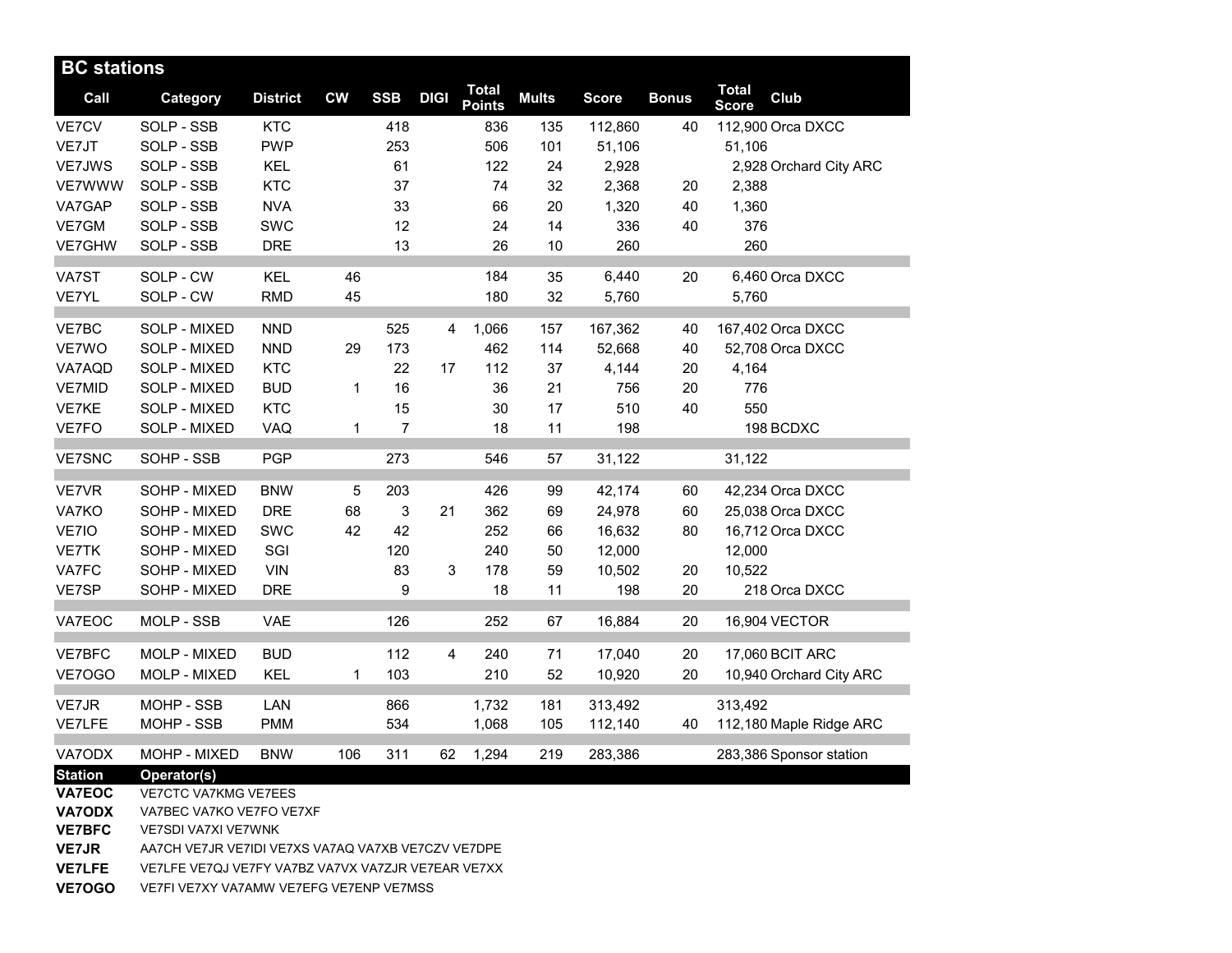| <b>BC</b> stations |                          |                 |              |                |             |                               |              |              |              |                              |                         |
|--------------------|--------------------------|-----------------|--------------|----------------|-------------|-------------------------------|--------------|--------------|--------------|------------------------------|-------------------------|
| Call               | Category                 | <b>District</b> | <b>CW</b>    | <b>SSB</b>     | <b>DIGI</b> | <b>Total</b><br><b>Points</b> | <b>Mults</b> | <b>Score</b> | <b>Bonus</b> | <b>Total</b><br><b>Score</b> | Club                    |
| VE7CV              | SOLP - SSB               | <b>KTC</b>      |              | 418            |             | 836                           | 135          | 112,860      | 40           |                              | 112,900 Orca DXCC       |
| VE7JT              | SOLP - SSB               | <b>PWP</b>      |              | 253            |             | 506                           | 101          | 51,106       |              | 51,106                       |                         |
| VE7JWS             | SOLP - SSB               | <b>KEL</b>      |              | 61             |             | 122                           | 24           | 2,928        |              |                              | 2,928 Orchard City ARC  |
| <b>VE7WWW</b>      | SOLP - SSB               | <b>KTC</b>      |              | 37             |             | 74                            | 32           | 2,368        | 20           | 2,388                        |                         |
| VA7GAP             | SOLP - SSB               | <b>NVA</b>      |              | 33             |             | 66                            | 20           | 1,320        | 40           | 1,360                        |                         |
| VE7GM              | SOLP - SSB               | SWC             |              | 12             |             | 24                            | 14           | 336          | 40           | 376                          |                         |
| VE7GHW             | SOLP - SSB               | <b>DRE</b>      |              | 13             |             | 26                            | 10           | 260          |              | 260                          |                         |
| VA7ST              | SOLP - CW                | <b>KEL</b>      | 46           |                |             | 184                           | 35           | 6,440        | 20           |                              | 6,460 Orca DXCC         |
| VE7YL              | SOLP - CW                | <b>RMD</b>      | 45           |                |             | 180                           | 32           | 5,760        |              | 5,760                        |                         |
| VE7BC              | SOLP - MIXED             | <b>NND</b>      |              | 525            | 4           | 1,066                         | 157          | 167,362      | 40           |                              | 167,402 Orca DXCC       |
| VE7WO              | SOLP - MIXED             | <b>NND</b>      | 29           | 173            |             | 462                           | 114          | 52,668       | 40           |                              | 52,708 Orca DXCC        |
| VA7AQD             | SOLP - MIXED             | <b>KTC</b>      |              | 22             | 17          | 112                           | 37           | 4,144        | 20           | 4,164                        |                         |
| <b>VE7MID</b>      | SOLP - MIXED             | <b>BUD</b>      | 1            | 16             |             | 36                            | 21           | 756          | 20           | 776                          |                         |
| VE7KE              | SOLP - MIXED             | <b>KTC</b>      |              | 15             |             | 30                            | 17           | 510          | 40           | 550                          |                         |
| VE7FO              | SOLP - MIXED             | VAQ             | $\mathbf{1}$ | $\overline{7}$ |             | 18                            | 11           | 198          |              |                              | 198 BCDXC               |
| <b>VE7SNC</b>      | SOHP - SSB               | <b>PGP</b>      |              | 273            |             | 546                           | 57           | 31,122       |              | 31,122                       |                         |
| <b>VE7VR</b>       | SOHP - MIXED             | <b>BNW</b>      | 5            | 203            |             | 426                           | 99           | 42,174       | 60           |                              | 42,234 Orca DXCC        |
| VA7KO              | SOHP - MIXED             | <b>DRE</b>      | 68           | 3              | 21          | 362                           | 69           | 24,978       | 60           |                              | 25,038 Orca DXCC        |
| VE7IO              | SOHP - MIXED             | SWC             | 42           | 42             |             | 252                           | 66           | 16,632       | 80           |                              | 16,712 Orca DXCC        |
| VE7TK              | SOHP - MIXED             | SGI             |              | 120            |             | 240                           | 50           | 12,000       |              | 12,000                       |                         |
| VA7FC              | SOHP - MIXED             | <b>VIN</b>      |              | 83             | 3           | 178                           | 59           | 10,502       | 20           | 10,522                       |                         |
| VE7SP              | SOHP - MIXED             | <b>DRE</b>      |              | 9              |             | 18                            | 11           | 198          | 20           |                              | 218 Orca DXCC           |
| VA7EOC             | MOLP - SSB               | <b>VAE</b>      |              | 126            |             | 252                           | 67           | 16,884       | 20           |                              | 16,904 VECTOR           |
| VE7BFC             | MOLP - MIXED             | <b>BUD</b>      |              | 112            | 4           | 240                           | 71           | 17,040       | 20           |                              | 17,060 BCIT ARC         |
| VE7OGO             | MOLP - MIXED             | <b>KEL</b>      | 1            | 103            |             | 210                           | 52           | 10,920       | 20           |                              | 10,940 Orchard City ARC |
| VE7JR              | MOHP - SSB               | LAN             |              | 866            |             | 1,732                         | 181          | 313,492      |              | 313,492                      |                         |
| <b>VE7LFE</b>      | MOHP - SSB               | <b>PMM</b>      |              | 534            |             | 1,068                         | 105          | 112,140      | 40           |                              | 112,180 Maple Ridge ARC |
| VA7ODX             | MOHP - MIXED             | <b>BNW</b>      | 106          | 311            | 62          | 1,294                         | 219          | 283,386      |              |                              | 283,386 Sponsor station |
| <b>Station</b>     | Operator(s)              |                 |              |                |             |                               |              |              |              |                              |                         |
| <b>VA7EOC</b>      | VE7CTC VA7KMG VE7EES     |                 |              |                |             |                               |              |              |              |                              |                         |
| <b>VA7ODY</b>      | VA7REC VA7KO VE7EO VE7XE |                 |              |                |             |                               |              |              |              |                              |                         |

- **VA7ODX**<br>**VE7BFC VE7BFC** VE7SDI VA7XI VE7WNK
- **VE7JR** AA7CH VE7JR VE7IDI VE7XS VA7AQ VA7XB VE7CZV VE7DPE
- **VE7LFE** VE7LFE VE7QJ VE7FY VA7BZ VA7VX VA7ZJR VE7EAR VE7XX
- **VE7OGO** VE7FI VE7XY VA7AMW VE7EFG VE7ENP VE7MSS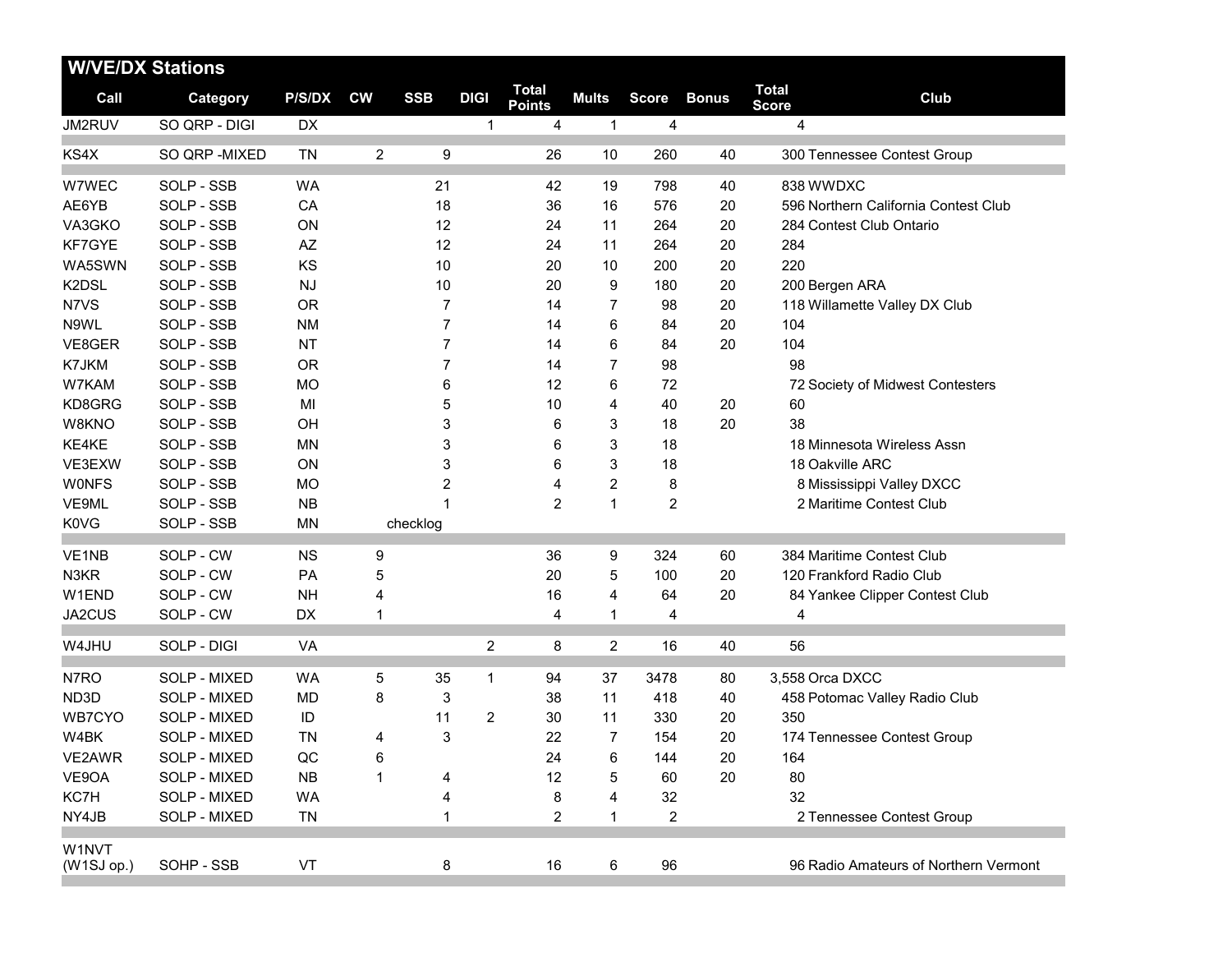| <b>W/VE/DX Stations</b> |                 |               |           |              |                |                               |                |                         |              |                              |                                       |
|-------------------------|-----------------|---------------|-----------|--------------|----------------|-------------------------------|----------------|-------------------------|--------------|------------------------------|---------------------------------------|
| Call                    | <b>Category</b> | <b>P/S/DX</b> | <b>CW</b> | <b>SSB</b>   | <b>DIGI</b>    | <b>Total</b><br><b>Points</b> | <b>Mults</b>   | <b>Score</b>            | <b>Bonus</b> | <b>Total</b><br><b>Score</b> | Club                                  |
| JM2RUV                  | SO QRP - DIGI   | DX            |           |              | $\mathbf{1}$   | 4                             | $\mathbf{1}$   | $\overline{4}$          |              | $\overline{4}$               |                                       |
| KS4X                    | SO QRP - MIXED  | <b>TN</b>     | 2         | 9            |                | 26                            | 10             | 260                     | 40           |                              | 300 Tennessee Contest Group           |
| W7WEC                   | SOLP - SSB      | <b>WA</b>     |           | 21           |                | 42                            | 19             | 798                     | 40           | 838 WWDXC                    |                                       |
| AE6YB                   | SOLP - SSB      | CA            |           | 18           |                | 36                            | 16             | 576                     | 20           |                              | 596 Northern California Contest Club  |
| VA3GKO                  | SOLP - SSB      | ON            |           | 12           |                | 24                            | 11             | 264                     | 20           |                              | 284 Contest Club Ontario              |
| KF7GYE                  | SOLP - SSB      | AZ            |           | 12           |                | 24                            | 11             | 264                     | 20           | 284                          |                                       |
| WA5SWN                  | SOLP - SSB      | KS            |           | 10           |                | 20                            | 10             | 200                     | 20           | 220                          |                                       |
| K2DSL                   | SOLP - SSB      | NJ            |           | 10           |                | 20                            | 9              | 180                     | 20           | 200 Bergen ARA               |                                       |
| N7VS                    | SOLP - SSB      | <b>OR</b>     |           | 7            |                | 14                            | $\overline{7}$ | 98                      | 20           |                              | 118 Willamette Valley DX Club         |
| N9WL                    | SOLP - SSB      | <b>NM</b>     |           | 7            |                | 14                            | 6              | 84                      | 20           | 104                          |                                       |
| VE8GER                  | SOLP - SSB      | <b>NT</b>     |           | 7            |                | 14                            | 6              | 84                      | 20           | 104                          |                                       |
| K7JKM                   | SOLP - SSB      | <b>OR</b>     |           | 7            |                | 14                            | $\overline{7}$ | 98                      |              | 98                           |                                       |
| W7KAM                   | SOLP - SSB      | <b>MO</b>     |           | 6            |                | 12                            | 6              | 72                      |              |                              | 72 Society of Midwest Contesters      |
| KD8GRG                  | SOLP - SSB      | MI            |           | 5            |                | 10                            | 4              | 40                      | 20           | 60                           |                                       |
| W8KNO                   | SOLP - SSB      | OH            |           | 3            |                | 6                             | 3              | 18                      | 20           | 38                           |                                       |
| KE4KE                   | SOLP - SSB      | <b>MN</b>     |           | 3            |                | 6                             | $\mathsf 3$    | 18                      |              |                              | 18 Minnesota Wireless Assn            |
| VE3EXW                  | SOLP - SSB      | ON            |           | 3            |                | 6                             | 3              | 18                      |              | 18 Oakville ARC              |                                       |
| <b>WONFS</b>            | SOLP - SSB      | <b>MO</b>     |           | 2            |                | 4                             | $\overline{2}$ | 8                       |              |                              | 8 Mississippi Valley DXCC             |
| VE9ML                   | SOLP - SSB      | NB            |           | $\mathbf{1}$ |                | $\overline{2}$                | $\mathbf{1}$   | $\overline{2}$          |              |                              | 2 Maritime Contest Club               |
| <b>K0VG</b>             | SOLP - SSB      | <b>MN</b>     |           | checklog     |                |                               |                |                         |              |                              |                                       |
| VE1NB                   | SOLP - CW       | <b>NS</b>     | 9         |              |                | 36                            | 9              | 324                     | 60           |                              | 384 Maritime Contest Club             |
| N3KR                    | SOLP - CW       | PA            | 5         |              |                | 20                            | 5              | 100                     | 20           |                              | 120 Frankford Radio Club              |
| W1END                   | SOLP - CW       | <b>NH</b>     | 4         |              |                | 16                            | 4              | 64                      | 20           |                              | 84 Yankee Clipper Contest Club        |
| JA2CUS                  | SOLP - CW       | DX            | 1         |              |                | 4                             | 1              | 4                       |              | 4                            |                                       |
| W4JHU                   | SOLP - DIGI     | VA            |           |              | $\overline{c}$ | 8                             | $\overline{2}$ | 16                      | 40           | 56                           |                                       |
| N7RO                    | SOLP - MIXED    | WA            | 5         | 35           | 1              | 94                            | 37             | 3478                    | 80           | 3,558 Orca DXCC              |                                       |
| ND3D                    | SOLP - MIXED    | <b>MD</b>     | 8         | 3            |                | 38                            | 11             | 418                     | 40           |                              | 458 Potomac Valley Radio Club         |
| WB7CYO                  | SOLP - MIXED    | ID            |           | 11           | 2              | 30                            | 11             | 330                     | 20           | 350                          |                                       |
| W4BK                    | SOLP - MIXED    | <b>TN</b>     | 4         | 3            |                | 22                            | $\overline{7}$ | 154                     | 20           |                              | 174 Tennessee Contest Group           |
| VE2AWR                  | SOLP - MIXED    | QC            | 6         |              |                | 24                            | 6              | 144                     | 20           | 164                          |                                       |
| VE9OA                   | SOLP - MIXED    | <b>NB</b>     | 1         | 4            |                | 12                            | 5              | 60                      | 20           | 80                           |                                       |
| KC7H                    | SOLP - MIXED    | <b>WA</b>     |           | 4            |                | 8                             | 4              | 32                      |              | 32                           |                                       |
| NY4JB                   | SOLP - MIXED    | TN            |           | 1            |                | 2                             | 1              | $\overline{\mathbf{c}}$ |              |                              | 2 Tennessee Contest Group             |
|                         |                 |               |           |              |                |                               |                |                         |              |                              |                                       |
| W1NVT<br>(W1SJ op.)     | SOHP - SSB      | VT            |           | 8            |                | 16                            | 6              | 96                      |              |                              | 96 Radio Amateurs of Northern Vermont |